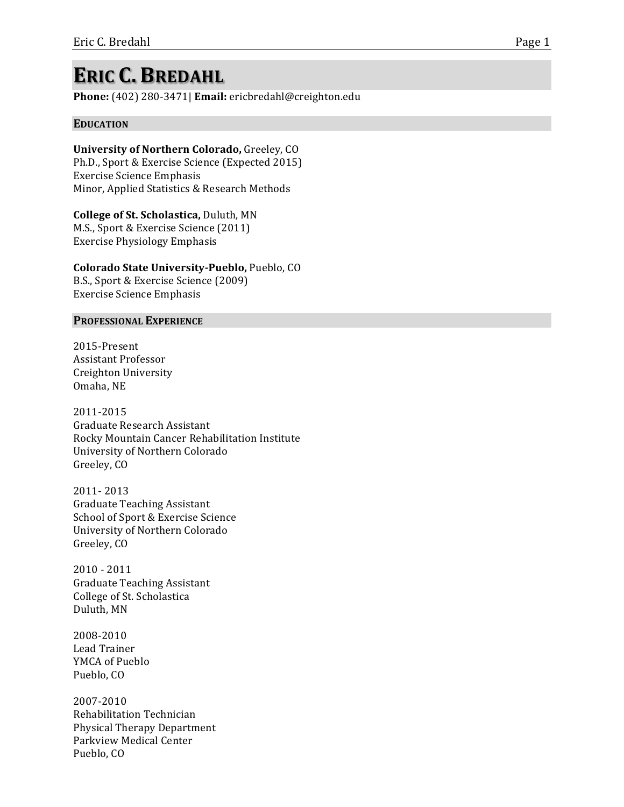# **ERIC C. BREDAHL**

Phone: (402) 280-3471| Email: ericbredahl@creighton.edu

## **EDUCATION**

**University of Northern Colorado, Greeley, CO** Ph.D., Sport & Exercise Science (Expected 2015) Exercise Science Emphasis Minor, Applied Statistics & Research Methods

**College of St. Scholastica, Duluth, MN** M.S., Sport & Exercise Science (2011) Exercise Physiology Emphasis

**Colorado State University-Pueblo, Pueblo, CO** B.S., Sport & Exercise Science (2009)

Exercise Science Emphasis

#### **PROFESSIONAL EXPERIENCE**

2015-Present Assistant Professor Creighton University Omaha, NE

2011-2015 Graduate Research Assistant Rocky Mountain Cancer Rehabilitation Institute University of Northern Colorado Greeley, CO

2011-2013 Graduate Teaching Assistant School of Sport & Exercise Science University of Northern Colorado Greeley, CO

 $2010 - 2011$ Graduate Teaching Assistant College of St. Scholastica Duluth, MN

2008-2010 Lead Trainer YMCA of Pueblo Pueblo, CO

2007-2010 Rehabilitation%Technician% Physical Therapy Department Parkview Medical Center Pueblo, CO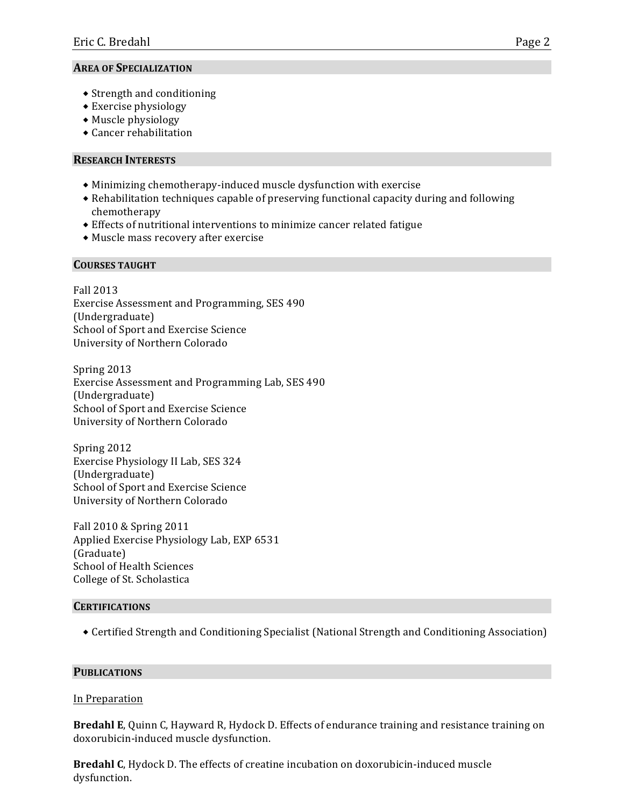# **AREA OF SPECIALIZATION**

- $\bullet$  Strength and conditioning
- $\triangle$  Exercise physiology
- $\bullet$  Muscle physiology
- $\triangle$  Cancer rehabilitation

# **RESEARCH%INTERESTS%**

- $\bullet$  Minimizing chemotherapy-induced muscle dysfunction with exercise
- $\bullet$  Rehabilitation techniques capable of preserving functional capacity during and following chemotherapy
- $\bullet$  Effects of nutritional interventions to minimize cancer related fatigue
- $\bullet$  Muscle mass recovery after exercise

# **COURSES%TAUGHT**

Fall%2013 Exercise Assessment and Programming, SES 490 (Undergraduate) School of Sport and Exercise Science University of Northern Colorado

Spring 2013 Exercise Assessment and Programming Lab, SES 490 (Undergraduate) School of Sport and Exercise Science University of Northern Colorado

Spring 2012 Exercise Physiology II Lab, SES 324 (Undergraduate) School of Sport and Exercise Science University of Northern Colorado

Fall 2010 & Spring 2011 Applied Exercise Physiology Lab, EXP 6531 (Graduate) School of Health Sciences College of St. Scholastica

# **CERTIFICATIONS**

 $\bullet$  Certified Strength and Conditioning Specialist (National Strength and Conditioning Association)

# **PUBLICATIONS**

## In Preparation

**Bredahl E**, Quinn C, Hayward R, Hydock D. Effects of endurance training and resistance training on doxorubicin-induced muscle dysfunction.

**Bredahl C**, Hydock D. The effects of creatine incubation on doxorubicin-induced muscle dysfunction.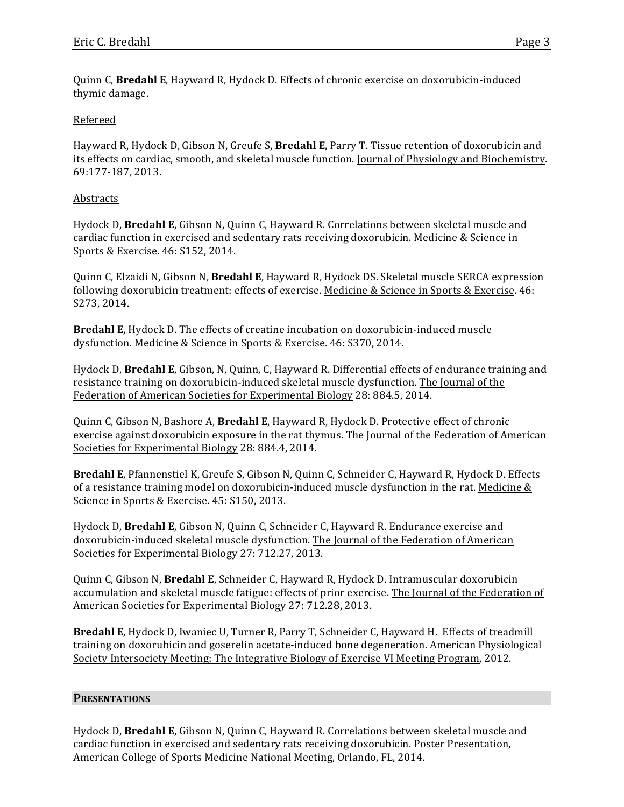Quinn C, **Bredahl E**, Hayward R, Hydock D. Effects of chronic exercise on doxorubicin-induced thymic damage.

## Refereed

Hayward R, Hydock D, Gibson N, Greufe S, **Bredahl E**, Parry T. Tissue retention of doxorubicin and its effects on cardiac, smooth, and skeletal muscle function. Journal of Physiology and Biochemistry. 69:177-187, 2013.

## Abstracts

Hydock D, **Bredahl E**, Gibson N, Quinn C, Hayward R. Correlations between skeletal muscle and cardiac function in exercised and sedentary rats receiving doxorubicin. Medicine & Science in Sports & Exercise. 46: S152, 2014.

Quinn C, Elzaidi N, Gibson N, **Bredahl E**, Hayward R, Hydock DS. Skeletal muscle SERCA expression following doxorubicin treatment: effects of exercise. Medicine & Science in Sports & Exercise. 46: S273, 2014.

**Bredahl E**, Hydock D. The effects of creatine incubation on doxorubicin-induced muscle dysfunction. Medicine & Science in Sports & Exercise. 46: S370, 2014.

Hydock D, **Bredahl E**, Gibson, N, Quinn, C, Hayward R. Differential effects of endurance training and resistance training on doxorubicin-induced skeletal muscle dysfunction. The Journal of the Federation of American Societies for Experimental Biology 28: 884.5, 2014.

Quinn C, Gibson N, Bashore A, **Bredahl E**, Hayward R, Hydock D. Protective effect of chronic exercise against doxorubicin exposure in the rat thymus. The Journal of the Federation of American Societies for Experimental Biology 28: 884.4, 2014.

Bredahl E, Pfannenstiel K, Greufe S, Gibson N, Quinn C, Schneider C, Hayward R, Hydock D. Effects of a resistance training model on doxorubicin-induced muscle dysfunction in the rat. Medicine & Science in Sports & Exercise. 45: S150, 2013.

Hydock D, Bredahl E, Gibson N, Quinn C, Schneider C, Hayward R. Endurance exercise and doxorubicin-induced skeletal muscle dysfunction. The Journal of the Federation of American Societies for Experimental Biology 27: 712.27, 2013.

Quinn%C,%Gibson%N,%**Bredahl%E**,%Schneider%C,%Hayward%R,%Hydock%D.%Intramuscular%doxorubicin% accumulation and skeletal muscle fatigue: effects of prior exercise. The Journal of the Federation of American Societies for Experimental Biology 27: 712.28, 2013.

Bredahl E, Hydock D, Iwaniec U, Turner R, Parry T, Schneider C, Hayward H. Effects of treadmill training on doxorubicin and goserelin acetate-induced bone degeneration. American Physiological Society Intersociety Meeting: The Integrative Biology of Exercise VI Meeting Program, 2012.

#### **PRESENTATIONS**

Hydock D, **Bredahl E**, Gibson N, Quinn C, Hayward R. Correlations between skeletal muscle and cardiac function in exercised and sedentary rats receiving doxorubicin. Poster Presentation, American College of Sports Medicine National Meeting, Orlando, FL, 2014.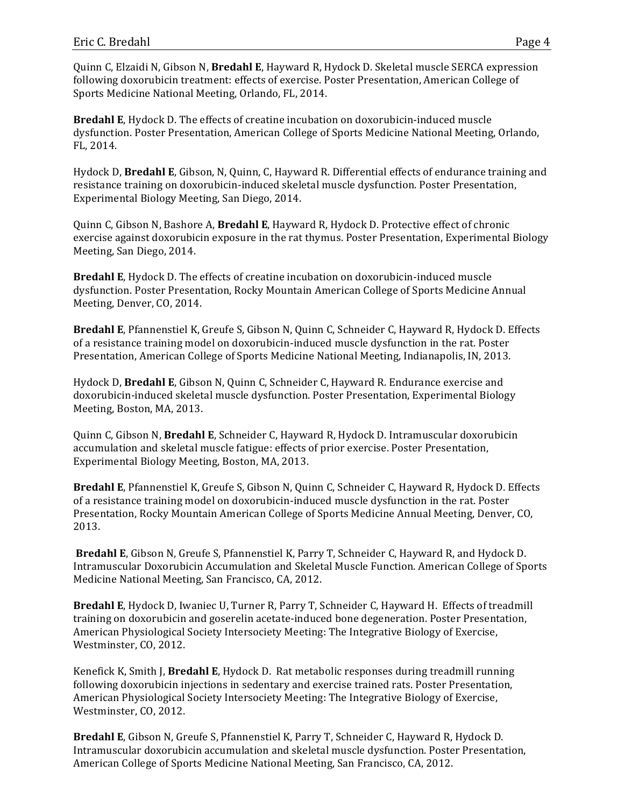Quinn%C,%Elzaidi%N,%Gibson%N,%**Bredahl%E**,%Hayward%R,%Hydock%D.%Skeletal%muscle%SERCA%expression% following doxorubicin treatment: effects of exercise. Poster Presentation, American College of Sports Medicine National Meeting, Orlando, FL, 2014.

**Bredahl E**, Hydock D. The effects of creatine incubation on doxorubicin-induced muscle dysfunction. Poster Presentation, American College of Sports Medicine National Meeting, Orlando, FL, 2014.

Hydock D, **Bredahl E**, Gibson, N, Quinn, C, Hayward R. Differential effects of endurance training and resistance training on doxorubicin-induced skeletal muscle dysfunction. Poster Presentation, Experimental%Biology%Meeting,%San%Diego,%2014.

Quinn C, Gibson N, Bashore A, **Bredahl E**, Hayward R, Hydock D. Protective effect of chronic exercise against doxorubicin exposure in the rat thymus. Poster Presentation, Experimental Biology Meeting, San Diego, 2014.

**Bredahl E**, Hydock D. The effects of creatine incubation on doxorubicin-induced muscle dysfunction. Poster Presentation, Rocky Mountain American College of Sports Medicine Annual Meeting, Denver, CO, 2014.

Bredahl E, Pfannenstiel K, Greufe S, Gibson N, Quinn C, Schneider C, Hayward R, Hydock D. Effects of a resistance training model on doxorubicin-induced muscle dysfunction in the rat. Poster Presentation, American College of Sports Medicine National Meeting, Indianapolis, IN, 2013.

Hydock D, **Bredahl E**, Gibson N, Quinn C, Schneider C, Hayward R. Endurance exercise and doxorubicin-induced skeletal muscle dysfunction. Poster Presentation, Experimental Biology Meeting, Boston, MA, 2013.

Quinn%C,%Gibson%N,%**Bredahl%E**,%Schneider%C,%Hayward%R,%Hydock%D.%Intramuscular%doxorubicin% accumulation and skeletal muscle fatigue: effects of prior exercise. Poster Presentation, Experimental Biology Meeting, Boston, MA, 2013.

Bredahl E, Pfannenstiel K, Greufe S, Gibson N, Quinn C, Schneider C, Hayward R, Hydock D. Effects of a resistance training model on doxorubicin-induced muscle dysfunction in the rat. Poster Presentation, Rocky Mountain American College of Sports Medicine Annual Meeting, Denver, CO, 2013.

**Bredahl E**, Gibson N, Greufe S, Pfannenstiel K, Parry T, Schneider C, Hayward R, and Hydock D. Intramuscular Doxorubicin Accumulation and Skeletal Muscle Function. American College of Sports Medicine National Meeting, San Francisco, CA, 2012.

Bredahl E, Hydock D, Iwaniec U, Turner R, Parry T, Schneider C, Hayward H. Effects of treadmill training on doxorubicin and goserelin acetate-induced bone degeneration. Poster Presentation, American Physiological Society Intersociety Meeting: The Integrative Biology of Exercise, Westminster, CO, 2012.

Kenefick K, Smith J, **Bredahl E**, Hydock D. Rat metabolic responses during treadmill running following doxorubicin injections in sedentary and exercise trained rats. Poster Presentation, American Physiological Society Intersociety Meeting: The Integrative Biology of Exercise, Westminster, CO, 2012.

**Bredahl E, Gibson N, Greufe S, Pfannenstiel K, Parry T, Schneider C, Hayward R, Hydock D.** Intramuscular doxorubicin accumulation and skeletal muscle dysfunction. Poster Presentation, American College of Sports Medicine National Meeting, San Francisco, CA, 2012.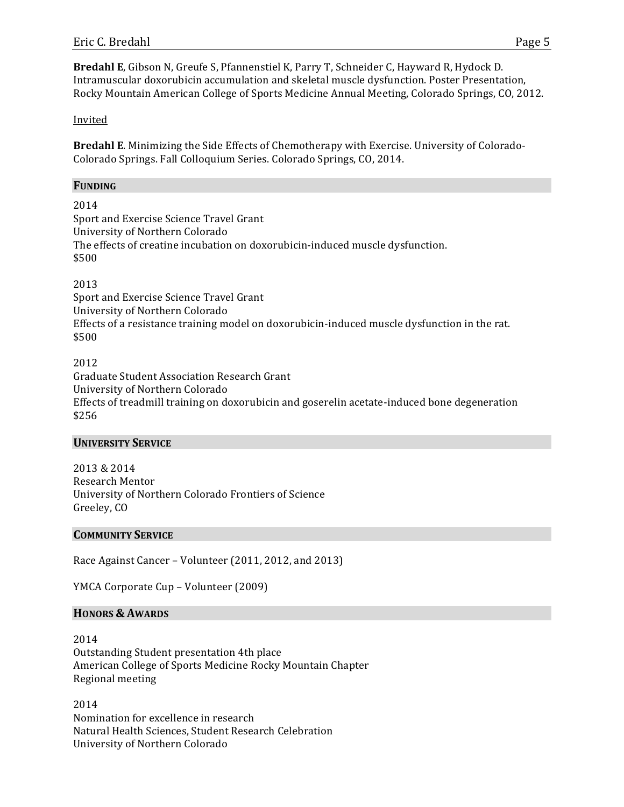Bredahl E, Gibson N, Greufe S, Pfannenstiel K, Parry T, Schneider C, Hayward R, Hydock D. Intramuscular doxorubicin accumulation and skeletal muscle dysfunction. Poster Presentation, Rocky Mountain American College of Sports Medicine Annual Meeting, Colorado Springs, CO, 2012.

## Invited

Bredahl E. Minimizing the Side Effects of Chemotherapy with Exercise. University of Colorado-Colorado Springs. Fall Colloquium Series. Colorado Springs, CO, 2014.

#### **FUNDING**

2014 Sport and Exercise Science Travel Grant University of Northern Colorado The effects of creatine incubation on doxorubicin-induced muscle dysfunction. \$500

2013

Sport and Exercise Science Travel Grant University of Northern Colorado Effects of a resistance training model on doxorubicin-induced muscle dysfunction in the rat. \$500

## 2012

Graduate Student Association Research Grant University of Northern Colorado Effects of treadmill training on doxorubicin and goserelin acetate-induced bone degeneration \$256%

#### **UNIVERSITY SERVICE**

2013 & 2014 Research Mentor University of Northern Colorado Frontiers of Science Greeley, CO

#### **COMMUNITY SERVICE**

Race Against Cancer – Volunteer (2011, 2012, and 2013)

YMCA Corporate Cup – Volunteer (2009)

#### **HONORS%& AWARDS**

2014 Outstanding Student presentation 4th place American College of Sports Medicine Rocky Mountain Chapter Regional meeting

2014 Nomination for excellence in research Natural Health Sciences, Student Research Celebration University of Northern Colorado